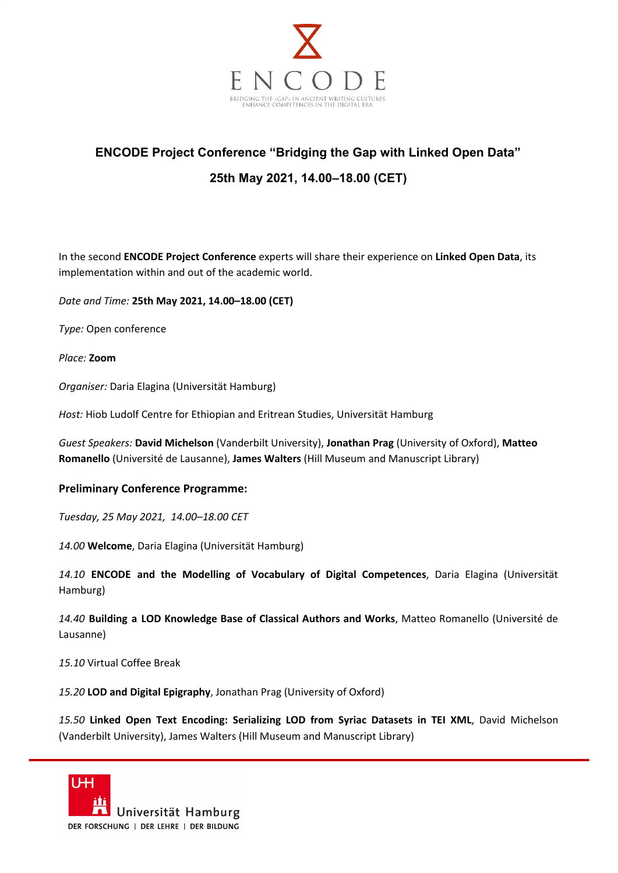

## **ENCODE Project Conference "Bridging the Gap with Linked Open Data" 25th May 2021, 14.00–18.00 (CET)**

In the second **ENCODE Project Conference** experts will share their experience on **Linked Open Data**, its implementation within and out of the academic world.

*Date and Time:* **25th May 2021, 14.00–18.00 (CET)**

*Type:* Open conference

*Place:* **Zoom**

*Organiser:* Daria Elagina (Universität Hamburg)

*Host:* Hiob Ludolf Centre for Ethiopian and Eritrean Studies, Universität Hamburg

*Guest Speakers:* **David Michelson** (Vanderbilt University), **Jonathan Prag** (University of Oxford), **Matteo Romanello** (Université de Lausanne), **James Walters** (Hill Museum and Manuscript Library)

## **Preliminary Conference Programme:**

*Tuesday, 25 May 2021, 14.00–18.00 CET*

*14.00* **Welcome**, Daria Elagina (Universität Hamburg)

*14.10* **ENCODE and the Modelling of Vocabulary of Digital Competences**, Daria Elagina (Universität Hamburg)

*14.40* **Building a LOD Knowledge Base of Classical Authors and Works**, Matteo Romanello (Université de Lausanne)

*15.10* Virtual Coffee Break

*15.20* **LOD and Digital Epigraphy**, Jonathan Prag (University of Oxford)

*15.50* **Linked Open Text Encoding: Serializing LOD from Syriac Datasets in TEI XML**, David Michelson (Vanderbilt University), James Walters (Hill Museum and Manuscript Library)